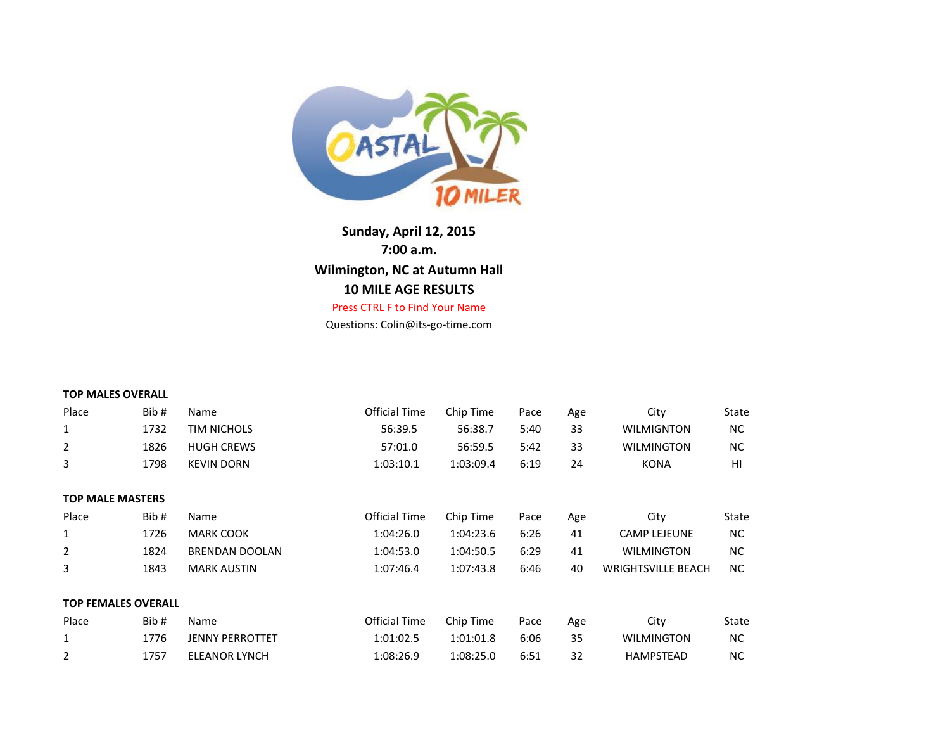

Press CTRL F to Find Your Name **Sunday, April 12, 2015 7:00 a.m. Wilmington, NC at Autumn Hall 10 MILE AGE RESULTS**

Questions: Colin@its-go-time.com

| <b>TOP MALES OVERALL</b>   |      |                        |                      |           |      |     |                           |           |
|----------------------------|------|------------------------|----------------------|-----------|------|-----|---------------------------|-----------|
| Place                      | Bib# | Name                   | <b>Official Time</b> | Chip Time | Pace | Age | City                      | State     |
| 1                          | 1732 | <b>TIM NICHOLS</b>     | 56:39.5              | 56:38.7   | 5:40 | 33  | <b>WILMIGNTON</b>         | NC.       |
| $\overline{2}$             | 1826 | <b>HUGH CREWS</b>      | 57:01.0              | 56:59.5   | 5:42 | 33  | <b>WILMINGTON</b>         | NC.       |
| 3                          | 1798 | <b>KEVIN DORN</b>      | 1:03:10.1            | 1:03:09.4 | 6:19 | 24  | <b>KONA</b>               | HI        |
| <b>TOP MALE MASTERS</b>    |      |                        |                      |           |      |     |                           |           |
| Place                      | Bib# | Name                   | <b>Official Time</b> | Chip Time | Pace | Age | City                      | State     |
| 1                          | 1726 | <b>MARK COOK</b>       | 1:04:26.0            | 1:04:23.6 | 6:26 | 41  | <b>CAMP LEJEUNE</b>       | <b>NC</b> |
| $\overline{2}$             | 1824 | <b>BRENDAN DOOLAN</b>  | 1:04:53.0            | 1:04:50.5 | 6:29 | 41  | <b>WILMINGTON</b>         | NC.       |
| 3                          | 1843 | <b>MARK AUSTIN</b>     | 1:07:46.4            | 1:07:43.8 | 6:46 | 40  | <b>WRIGHTSVILLE BEACH</b> | NC.       |
| <b>TOP FEMALES OVERALL</b> |      |                        |                      |           |      |     |                           |           |
| Place                      | Bib# | Name                   | <b>Official Time</b> | Chip Time | Pace | Age | City                      | State     |
| 1                          | 1776 | <b>JENNY PERROTTET</b> | 1:01:02.5            | 1:01:01.8 | 6:06 | 35  | <b>WILMINGTON</b>         | NC.       |
| $\overline{2}$             | 1757 | <b>ELEANOR LYNCH</b>   | 1:08:26.9            | 1:08:25.0 | 6:51 | 32  | <b>HAMPSTEAD</b>          | <b>NC</b> |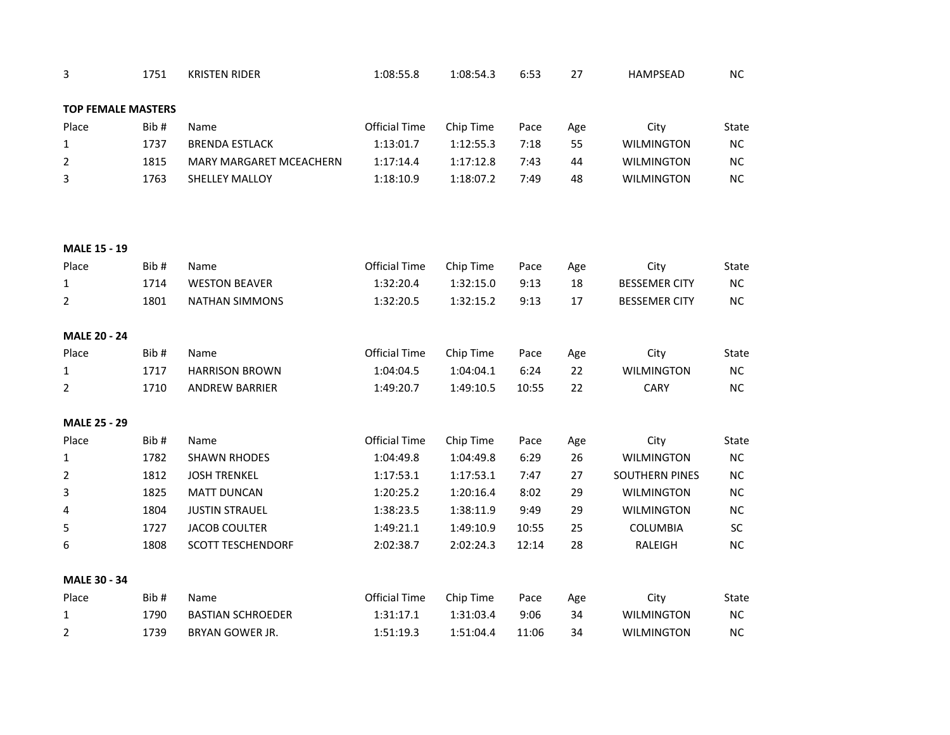| 3                         | 1751 | <b>KRISTEN RIDER</b>     | 1:08:55.8            | 1:08:54.3 | 6:53  | 27        | <b>HAMPSEAD</b>      | $NC$       |
|---------------------------|------|--------------------------|----------------------|-----------|-------|-----------|----------------------|------------|
| <b>TOP FEMALE MASTERS</b> |      |                          |                      |           |       |           |                      |            |
| Place                     | Bib# | Name                     | <b>Official Time</b> | Chip Time | Pace  |           | City                 | State      |
| $\mathbf{1}$              | 1737 | <b>BRENDA ESTLACK</b>    | 1:13:01.7            | 1:12:55.3 | 7:18  | Age<br>55 | <b>WILMINGTON</b>    | NC         |
| $\overline{2}$            | 1815 | MARY MARGARET MCEACHERN  | 1:17:14.4            | 1:17:12.8 | 7:43  | 44        | <b>WILMINGTON</b>    | ${\sf NC}$ |
|                           | 1763 |                          |                      |           |       |           |                      | NC         |
| 3                         |      | SHELLEY MALLOY           | 1:18:10.9            | 1:18:07.2 | 7:49  | 48        | <b>WILMINGTON</b>    |            |
|                           |      |                          |                      |           |       |           |                      |            |
|                           |      |                          |                      |           |       |           |                      |            |
| <b>MALE 15 - 19</b>       |      |                          |                      |           |       |           |                      |            |
| Place                     | Bib# | Name                     | <b>Official Time</b> | Chip Time | Pace  | Age       | City                 | State      |
| 1                         | 1714 | <b>WESTON BEAVER</b>     | 1:32:20.4            | 1:32:15.0 | 9:13  | 18        | <b>BESSEMER CITY</b> | NC         |
| $\overline{2}$            | 1801 | <b>NATHAN SIMMONS</b>    | 1:32:20.5            | 1:32:15.2 | 9:13  | 17        | <b>BESSEMER CITY</b> | ${\sf NC}$ |
|                           |      |                          |                      |           |       |           |                      |            |
| <b>MALE 20 - 24</b>       |      |                          |                      |           |       |           |                      |            |
| Place                     | Bib# | Name                     | <b>Official Time</b> | Chip Time | Pace  | Age       | City                 | State      |
| $\mathbf{1}$              | 1717 | <b>HARRISON BROWN</b>    | 1:04:04.5            | 1:04:04.1 | 6:24  | 22        | <b>WILMINGTON</b>    | <b>NC</b>  |
| 2                         | 1710 | <b>ANDREW BARRIER</b>    | 1:49:20.7            | 1:49:10.5 | 10:55 | 22        | <b>CARY</b>          | NC         |
| <b>MALE 25 - 29</b>       |      |                          |                      |           |       |           |                      |            |
| Place                     | Bib# | Name                     | <b>Official Time</b> | Chip Time | Pace  | Age       | City                 | State      |
| $\mathbf{1}$              | 1782 | <b>SHAWN RHODES</b>      | 1:04:49.8            | 1:04:49.8 | 6:29  | 26        | <b>WILMINGTON</b>    | NC         |
| $\overline{2}$            | 1812 | <b>JOSH TRENKEL</b>      | 1:17:53.1            | 1:17:53.1 | 7:47  | 27        | SOUTHERN PINES       | ${\sf NC}$ |
| 3                         | 1825 | <b>MATT DUNCAN</b>       | 1:20:25.2            | 1:20:16.4 | 8:02  | 29        | <b>WILMINGTON</b>    | $NC$       |
| 4                         | 1804 | <b>JUSTIN STRAUEL</b>    | 1:38:23.5            | 1:38:11.9 | 9:49  | 29        | <b>WILMINGTON</b>    | $NC$       |
| 5                         | 1727 | <b>JACOB COULTER</b>     | 1:49:21.1            | 1:49:10.9 | 10:55 | 25        | COLUMBIA             | SC         |
| 6                         | 1808 | <b>SCOTT TESCHENDORF</b> | 2:02:38.7            | 2:02:24.3 | 12:14 | 28        | RALEIGH              | NC         |
|                           |      |                          |                      |           |       |           |                      |            |
| <b>MALE 30 - 34</b>       |      |                          |                      |           |       |           |                      |            |
| Place                     | Bib# | Name                     | <b>Official Time</b> | Chip Time | Pace  | Age       | City                 | State      |
| $\mathbf{1}$              | 1790 | <b>BASTIAN SCHROEDER</b> | 1:31:17.1            | 1:31:03.4 | 9:06  | 34        | <b>WILMINGTON</b>    | NC         |
| $\overline{2}$            | 1739 | BRYAN GOWER JR.          | 1:51:19.3            | 1:51:04.4 | 11:06 | 34        | <b>WILMINGTON</b>    | <b>NC</b>  |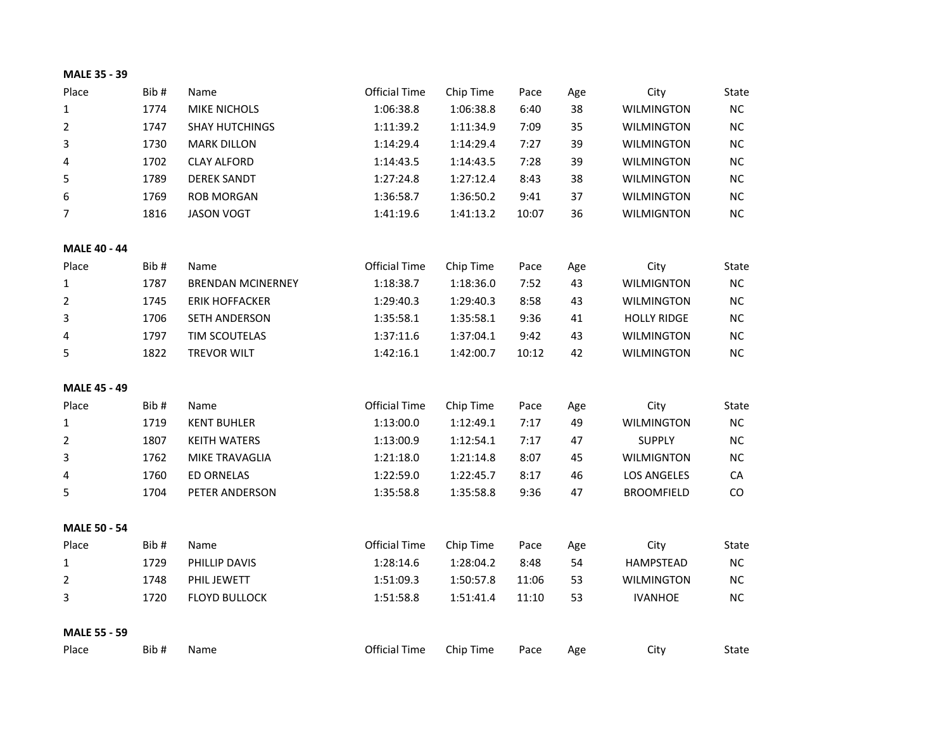| <b>MALE 35 - 39</b> |        |  |
|---------------------|--------|--|
| $N = -$             | n:1.11 |  |

| Place               | Bib# | Name                     | <b>Official Time</b> | Chip Time | Pace  | Age | City               | State      |
|---------------------|------|--------------------------|----------------------|-----------|-------|-----|--------------------|------------|
| $\mathbf{1}$        | 1774 | MIKE NICHOLS             | 1:06:38.8            | 1:06:38.8 | 6:40  | 38  | <b>WILMINGTON</b>  | ${\sf NC}$ |
| $\overline{2}$      | 1747 | <b>SHAY HUTCHINGS</b>    | 1:11:39.2            | 1:11:34.9 | 7:09  | 35  | <b>WILMINGTON</b>  | NC         |
| 3                   | 1730 | <b>MARK DILLON</b>       | 1:14:29.4            | 1:14:29.4 | 7:27  | 39  | <b>WILMINGTON</b>  | $NC$       |
| 4                   | 1702 | <b>CLAY ALFORD</b>       | 1:14:43.5            | 1:14:43.5 | 7:28  | 39  | <b>WILMINGTON</b>  | <b>NC</b>  |
| 5                   | 1789 | <b>DEREK SANDT</b>       | 1:27:24.8            | 1:27:12.4 | 8:43  | 38  | <b>WILMINGTON</b>  | NC         |
| 6                   | 1769 | <b>ROB MORGAN</b>        | 1:36:58.7            | 1:36:50.2 | 9:41  | 37  | <b>WILMINGTON</b>  | NC         |
| 7                   | 1816 | <b>JASON VOGT</b>        | 1:41:19.6            | 1:41:13.2 | 10:07 | 36  | <b>WILMIGNTON</b>  | NC         |
| <b>MALE 40 - 44</b> |      |                          |                      |           |       |     |                    |            |
| Place               | Bib# | Name                     | <b>Official Time</b> | Chip Time | Pace  | Age | City               | State      |
| $\mathbf{1}$        | 1787 | <b>BRENDAN MCINERNEY</b> | 1:18:38.7            | 1:18:36.0 | 7:52  | 43  | <b>WILMIGNTON</b>  | NC         |
| $\overline{2}$      | 1745 | <b>ERIK HOFFACKER</b>    | 1:29:40.3            | 1:29:40.3 | 8:58  | 43  | <b>WILMINGTON</b>  | ${\sf NC}$ |
| 3                   | 1706 | SETH ANDERSON            | 1:35:58.1            | 1:35:58.1 | 9:36  | 41  | <b>HOLLY RIDGE</b> | NC         |
| 4                   | 1797 | TIM SCOUTELAS            | 1:37:11.6            | 1:37:04.1 | 9:42  | 43  | <b>WILMINGTON</b>  | NC         |
| 5                   | 1822 | <b>TREVOR WILT</b>       | 1:42:16.1            | 1:42:00.7 | 10:12 | 42  | <b>WILMINGTON</b>  | NC         |
| <b>MALE 45 - 49</b> |      |                          |                      |           |       |     |                    |            |
| Place               | Bib# | Name                     | <b>Official Time</b> | Chip Time | Pace  | Age | City               | State      |
| $\mathbf{1}$        | 1719 | <b>KENT BUHLER</b>       | 1:13:00.0            | 1:12:49.1 | 7:17  | 49  | <b>WILMINGTON</b>  | <b>NC</b>  |
| $\overline{2}$      | 1807 | <b>KEITH WATERS</b>      | 1:13:00.9            | 1:12:54.1 | 7:17  | 47  | <b>SUPPLY</b>      | NC         |
| 3                   | 1762 | MIKE TRAVAGLIA           | 1:21:18.0            | 1:21:14.8 | 8:07  | 45  | <b>WILMIGNTON</b>  | NC         |
| 4                   | 1760 | <b>ED ORNELAS</b>        | 1:22:59.0            | 1:22:45.7 | 8:17  | 46  | <b>LOS ANGELES</b> | CA         |
| 5                   | 1704 | PETER ANDERSON           | 1:35:58.8            | 1:35:58.8 | 9:36  | 47  | <b>BROOMFIELD</b>  | CO         |
| <b>MALE 50 - 54</b> |      |                          |                      |           |       |     |                    |            |
| Place               | Bib# | Name                     | Official Time        | Chip Time | Pace  | Age | City               | State      |
| $\mathbf{1}$        | 1729 | PHILLIP DAVIS            | 1:28:14.6            | 1:28:04.2 | 8:48  | 54  | HAMPSTEAD          | NC         |
| $\overline{2}$      | 1748 | PHIL JEWETT              | 1:51:09.3            | 1:50:57.8 | 11:06 | 53  | <b>WILMINGTON</b>  | NC         |
| 3                   | 1720 | <b>FLOYD BULLOCK</b>     | 1:51:58.8            | 1:51:41.4 | 11:10 | 53  | <b>IVANHOE</b>     | NC         |
| <b>MALE 55 - 59</b> |      |                          |                      |           |       |     |                    |            |
| Place               | Bib# | Name                     | <b>Official Time</b> | Chip Time | Pace  | Age | City               | State      |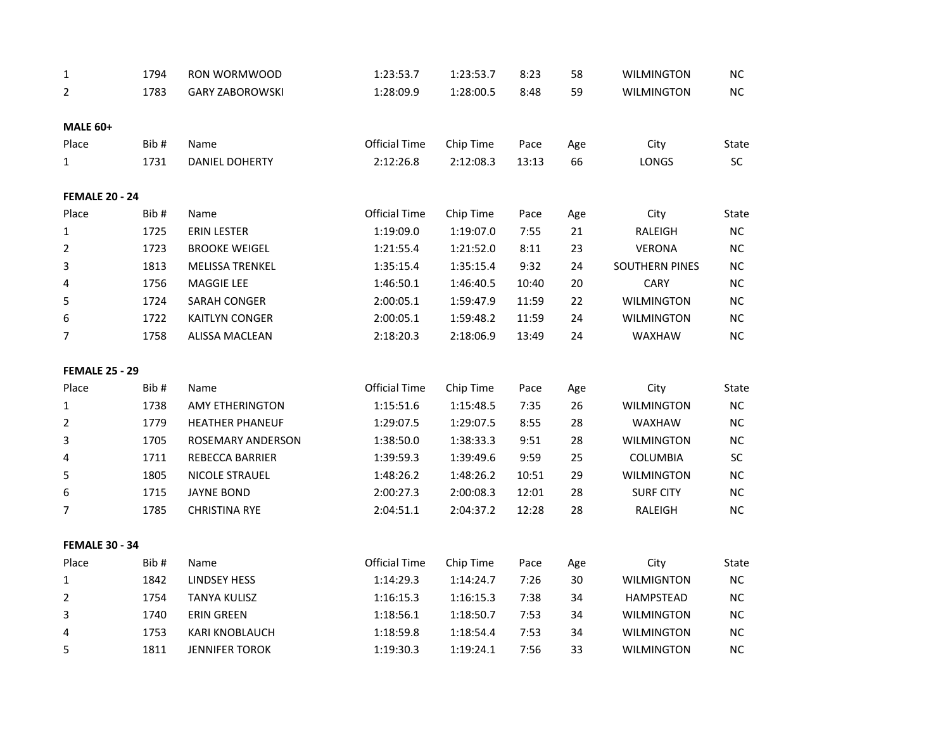| $\mathbf 1$           | 1794 | RON WORMWOOD           | 1:23:53.7            | 1:23:53.7 | 8:23  | 58  | WILMINGTON            | NC         |
|-----------------------|------|------------------------|----------------------|-----------|-------|-----|-----------------------|------------|
| 2                     | 1783 | <b>GARY ZABOROWSKI</b> | 1:28:09.9            | 1:28:00.5 | 8:48  | 59  | <b>WILMINGTON</b>     | NC         |
|                       |      |                        |                      |           |       |     |                       |            |
| <b>MALE 60+</b>       |      |                        |                      |           |       |     |                       |            |
| Place                 | Bib# | Name                   | <b>Official Time</b> | Chip Time | Pace  | Age | City                  | State      |
| $\mathbf{1}$          | 1731 | <b>DANIEL DOHERTY</b>  | 2:12:26.8            | 2:12:08.3 | 13:13 | 66  | LONGS                 | SC         |
| <b>FEMALE 20 - 24</b> |      |                        |                      |           |       |     |                       |            |
| Place                 | Bib# | Name                   | <b>Official Time</b> | Chip Time | Pace  | Age | City                  | State      |
| $\mathbf 1$           | 1725 | <b>ERIN LESTER</b>     | 1:19:09.0            | 1:19:07.0 | 7:55  | 21  | RALEIGH               | NC         |
| $\overline{2}$        | 1723 | <b>BROOKE WEIGEL</b>   | 1:21:55.4            | 1:21:52.0 | 8:11  | 23  | <b>VERONA</b>         | NC         |
| 3                     | 1813 | <b>MELISSA TRENKEL</b> | 1:35:15.4            | 1:35:15.4 | 9:32  | 24  | <b>SOUTHERN PINES</b> | NC         |
| 4                     | 1756 | MAGGIE LEE             | 1:46:50.1            | 1:46:40.5 | 10:40 | 20  | <b>CARY</b>           | NC         |
| 5                     | 1724 | SARAH CONGER           | 2:00:05.1            | 1:59:47.9 | 11:59 | 22  | <b>WILMINGTON</b>     | NC         |
| 6                     | 1722 | <b>KAITLYN CONGER</b>  | 2:00:05.1            | 1:59:48.2 | 11:59 | 24  | <b>WILMINGTON</b>     | NC         |
| 7                     | 1758 | <b>ALISSA MACLEAN</b>  | 2:18:20.3            | 2:18:06.9 | 13:49 | 24  | WAXHAW                | NC         |
| <b>FEMALE 25 - 29</b> |      |                        |                      |           |       |     |                       |            |
| Place                 | Bib# | Name                   | <b>Official Time</b> | Chip Time | Pace  | Age | City                  | State      |
| 1                     | 1738 | <b>AMY ETHERINGTON</b> | 1:15:51.6            | 1:15:48.5 | 7:35  | 26  | <b>WILMINGTON</b>     | ${\sf NC}$ |
| $\overline{2}$        | 1779 | <b>HEATHER PHANEUF</b> | 1:29:07.5            | 1:29:07.5 | 8:55  | 28  | WAXHAW                | NC         |
| 3                     | 1705 | ROSEMARY ANDERSON      | 1:38:50.0            | 1:38:33.3 | 9:51  | 28  | <b>WILMINGTON</b>     | NC         |
| 4                     | 1711 | REBECCA BARRIER        | 1:39:59.3            | 1:39:49.6 | 9:59  | 25  | <b>COLUMBIA</b>       | SC         |
| 5                     | 1805 | <b>NICOLE STRAUEL</b>  | 1:48:26.2            | 1:48:26.2 | 10:51 | 29  | <b>WILMINGTON</b>     | NC         |
| 6                     | 1715 | <b>JAYNE BOND</b>      | 2:00:27.3            | 2:00:08.3 | 12:01 | 28  | <b>SURF CITY</b>      | NC         |
| 7                     | 1785 | <b>CHRISTINA RYE</b>   | 2:04:51.1            | 2:04:37.2 | 12:28 | 28  | RALEIGH               | NC         |
| <b>FEMALE 30 - 34</b> |      |                        |                      |           |       |     |                       |            |
| Place                 | Bib# | Name                   | <b>Official Time</b> | Chip Time | Pace  | Age | City                  | State      |
| 1                     | 1842 | <b>LINDSEY HESS</b>    | 1:14:29.3            | 1:14:24.7 | 7:26  | 30  | <b>WILMIGNTON</b>     | NC         |
| $\overline{2}$        | 1754 | <b>TANYA KULISZ</b>    | 1:16:15.3            | 1:16:15.3 | 7:38  | 34  | HAMPSTEAD             | NC         |
| 3                     | 1740 | <b>ERIN GREEN</b>      | 1:18:56.1            | 1:18:50.7 | 7:53  | 34  | <b>WILMINGTON</b>     | NC         |
| 4                     | 1753 | KARI KNOBLAUCH         | 1:18:59.8            | 1:18:54.4 | 7:53  | 34  | WILMINGTON            | NC         |
| 5                     | 1811 | <b>JENNIFER TOROK</b>  | 1:19:30.3            | 1:19:24.1 | 7:56  | 33  | <b>WILMINGTON</b>     | NC         |
|                       |      |                        |                      |           |       |     |                       |            |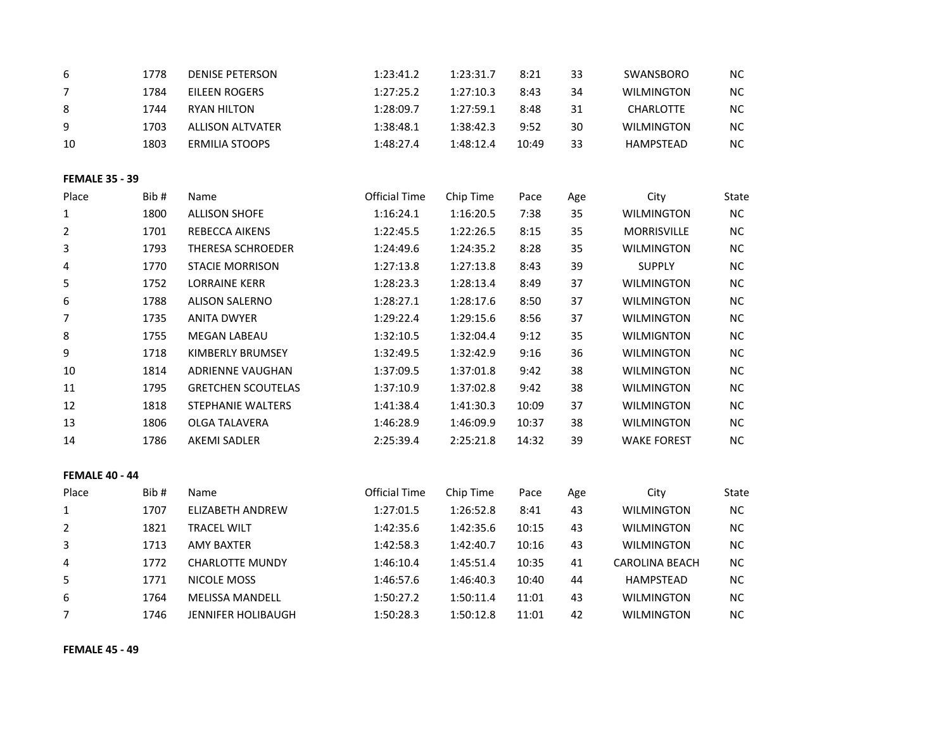| 6                     | 1778 | <b>DENISE PETERSON</b>    | 1:23:41.2            | 1:23:31.7 | 8:21  | 33  | SWANSBORO             | <b>NC</b> |
|-----------------------|------|---------------------------|----------------------|-----------|-------|-----|-----------------------|-----------|
| 7                     | 1784 | <b>EILEEN ROGERS</b>      | 1:27:25.2            | 1:27:10.3 | 8:43  | 34  | <b>WILMINGTON</b>     | $NC$      |
| 8                     | 1744 | <b>RYAN HILTON</b>        | 1:28:09.7            | 1:27:59.1 | 8:48  | 31  | <b>CHARLOTTE</b>      | NC        |
| 9                     | 1703 | <b>ALLISON ALTVATER</b>   | 1:38:48.1            | 1:38:42.3 | 9:52  | 30  | <b>WILMINGTON</b>     | NC        |
| 10                    | 1803 | <b>ERMILIA STOOPS</b>     | 1:48:27.4            | 1:48:12.4 | 10:49 | 33  | HAMPSTEAD             | $NC$      |
| <b>FEMALE 35 - 39</b> |      |                           |                      |           |       |     |                       |           |
| Place                 | Bib# | Name                      | <b>Official Time</b> | Chip Time | Pace  | Age | City                  | State     |
| 1                     | 1800 | <b>ALLISON SHOFE</b>      | 1:16:24.1            | 1:16:20.5 | 7:38  | 35  | <b>WILMINGTON</b>     | $NC$      |
| 2                     | 1701 | REBECCA AIKENS            | 1:22:45.5            | 1:22:26.5 | 8:15  | 35  | MORRISVILLE           | <b>NC</b> |
| 3                     | 1793 | THERESA SCHROEDER         | 1:24:49.6            | 1:24:35.2 | 8:28  | 35  | <b>WILMINGTON</b>     | $\sf NC$  |
| 4                     | 1770 | <b>STACIE MORRISON</b>    | 1:27:13.8            | 1:27:13.8 | 8:43  | 39  | <b>SUPPLY</b>         | $NC$      |
| 5                     | 1752 | <b>LORRAINE KERR</b>      | 1:28:23.3            | 1:28:13.4 | 8:49  | 37  | <b>WILMINGTON</b>     | NC        |
| 6                     | 1788 | <b>ALISON SALERNO</b>     | 1:28:27.1            | 1:28:17.6 | 8:50  | 37  | <b>WILMINGTON</b>     | NC        |
| 7                     | 1735 | <b>ANITA DWYER</b>        | 1:29:22.4            | 1:29:15.6 | 8:56  | 37  | <b>WILMINGTON</b>     | $NC$      |
| 8                     | 1755 | MEGAN LABEAU              | 1:32:10.5            | 1:32:04.4 | 9:12  | 35  | <b>WILMIGNTON</b>     | $NC$      |
| 9                     | 1718 | KIMBERLY BRUMSEY          | 1:32:49.5            | 1:32:42.9 | 9:16  | 36  | <b>WILMINGTON</b>     | NC        |
| 10                    | 1814 | ADRIENNE VAUGHAN          | 1:37:09.5            | 1:37:01.8 | 9:42  | 38  | <b>WILMINGTON</b>     | $NC$      |
| 11                    | 1795 | <b>GRETCHEN SCOUTELAS</b> | 1:37:10.9            | 1:37:02.8 | 9:42  | 38  | <b>WILMINGTON</b>     | $NC$      |
| 12                    | 1818 | STEPHANIE WALTERS         | 1:41:38.4            | 1:41:30.3 | 10:09 | 37  | WILMINGTON            | NC        |
| 13                    | 1806 | OLGA TALAVERA             | 1:46:28.9            | 1:46:09.9 | 10:37 | 38  | <b>WILMINGTON</b>     | $NC$      |
| 14                    | 1786 | <b>AKEMI SADLER</b>       | 2:25:39.4            | 2:25:21.8 | 14:32 | 39  | <b>WAKE FOREST</b>    | $NC$      |
| <b>FEMALE 40 - 44</b> |      |                           |                      |           |       |     |                       |           |
| Place                 | Bib# | Name                      | <b>Official Time</b> | Chip Time | Pace  | Age | City                  | State     |
| $\mathbf{1}$          | 1707 | <b>ELIZABETH ANDREW</b>   | 1:27:01.5            | 1:26:52.8 | 8:41  | 43  | <b>WILMINGTON</b>     | NC        |
| $\overline{2}$        | 1821 | <b>TRACEL WILT</b>        | 1:42:35.6            | 1:42:35.6 | 10:15 | 43  | WILMINGTON            | $NC$      |
| 3                     | 1713 | <b>AMY BAXTER</b>         | 1:42:58.3            | 1:42:40.7 | 10:16 | 43  | <b>WILMINGTON</b>     | $NC$      |
| 4                     | 1772 | <b>CHARLOTTE MUNDY</b>    | 1:46:10.4            | 1:45:51.4 | 10:35 | 41  | <b>CAROLINA BEACH</b> | NC        |
| 5                     | 1771 | NICOLE MOSS               | 1:46:57.6            | 1:46:40.3 | 10:40 | 44  | <b>HAMPSTEAD</b>      | $NC$      |
| 6                     | 1764 | <b>MELISSA MANDELL</b>    | 1:50:27.2            | 1:50:11.4 | 11:01 | 43  | <b>WILMINGTON</b>     | $NC$      |
| 7                     | 1746 | <b>JENNIFER HOLIBAUGH</b> | 1:50:28.3            | 1:50:12.8 | 11:01 | 42  | <b>WILMINGTON</b>     | $NC$      |
|                       |      |                           |                      |           |       |     |                       |           |

## **FEMALE 45 - 49**